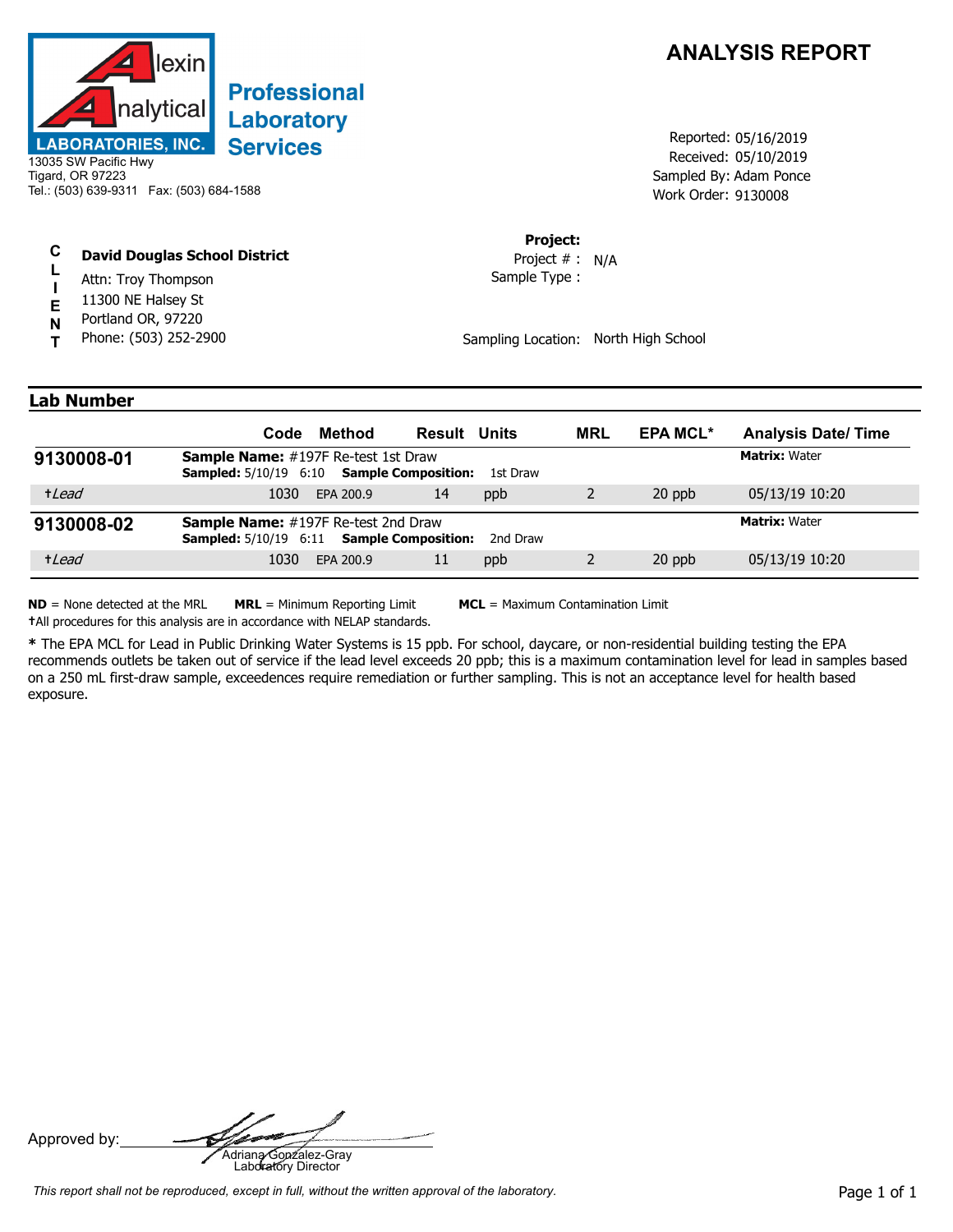

## **Professional** Laboratory **Services**

### Tigard, OR 97223 Tel.: (503) 639-9311 Fax: (503) 684-1588

#### **C David Douglas School District**

- **L** Attn: Troy Thompson
- **I** 11300 NE Halsey St
- **E N** Portland OR, 97220
- **T** Phone: (503) 252-2900

### **ANALYSIS REPORT**

Received: 05/10/2019 Work Order: 9130008 Reported: 05/16/2019 Sampled By: Adam Ponce

#### **Project:**

Sample Type : Project # : N/A

Sampling Location: North High School

### **Lab Number**

|            | Code                                                                                                  | Method    | <b>Result Units</b>        |          | <b>MRL</b> | <b>EPA MCL*</b> | <b>Analysis Date/Time</b> |
|------------|-------------------------------------------------------------------------------------------------------|-----------|----------------------------|----------|------------|-----------------|---------------------------|
| 9130008-01 | <b>Sample Name:</b> #197F Re-test 1st Draw<br><b>Sampled:</b> 5/10/19 6:10                            |           | <b>Sample Composition:</b> | 1st Draw |            |                 | <b>Matrix: Water</b>      |
| +Lead      | 1030                                                                                                  | EPA 200.9 | 14                         | ppb      |            | 20 ppb          | 05/13/19 10:20            |
| 9130008-02 | <b>Sample Name:</b> #197F Re-test 2nd Draw<br><b>Sampled:</b> 5/10/19 6:11 <b>Sample Composition:</b> |           |                            | 2nd Draw |            |                 | <b>Matrix: Water</b>      |
| +Lead      | 1030                                                                                                  | EPA 200.9 | 11                         | ppb      |            | 20 ppb          | 05/13/19 10:20            |

**ND** = None detected at the MRL **MRL** = Minimum Reporting Limit **MCL** = Maximum Contamination Limit

**†**All procedures for this analysis are in accordance with NELAP standards.

**\*** The EPA MCL for Lead in Public Drinking Water Systems is 15 ppb. For school, daycare, or non-residential building testing the EPA recommends outlets be taken out of service if the lead level exceeds 20 ppb; this is a maximum contamination level for lead in samples based on a 250 mL first-draw sample, exceedences require remediation or further sampling. This is not an acceptance level for health based exposure.

Approved by: **Adriana Gonzalez-Gray**<br>Adriana Gonzalez-Gray<br>Laboratory Director